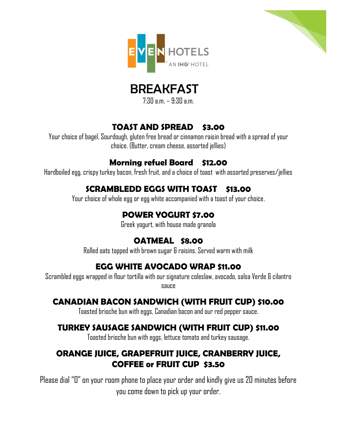





 $7:30 \text{ am} - 9:30 \text{ am}$ 

#### **TOAST AND SPREAD \$3.00**

Your choice of bagel, Sourdough, gluten free bread or cinnamon raisin bread with a spread of your choice. (Butter, cream cheese, assorted jellies)

## **Morning refuel Board \$12.00**

Hardboiled egg, crispy turkey bacon, fresh fruit, and a choice of toast with assorted preserves/jellies

## **SCRAMBLEDD EGGS WITH TOAST \$13.00**

Your choice of whole egg or egg white accompanied with a toast of your choice.

# **POWER YOGURT \$7.00**

Greek yogurt, with house made granola

## **OATMEAL \$8.00**

Rolled oats topped with brown sugar & raisins. Served warm with milk

## **EGG WHITE AVOCADO WRAP \$11.00**

Scrambled eggs wrapped in flour tortilla with our signature coleslaw, avocado, salsa Verde & cilantro sauce

## **CANADIAN BACON SANDWICH (WITH FRUIT CUP) \$10.00**

Toasted brioche bun with eggs, Canadian bacon and our red pepper sauce.

## **TURKEY SAUSAGE SANDWICH (WITH FRUIT CUP) \$11.00**

Toasted brioche bun with eggs, lettuce tomato and turkey sausage.

## **ORANGE JUICE, GRAPEFRUIT JUICE, CRANBERRY JUICE, COFFEE or FRUIT CUP \$3.50**

Please dial "0" on your room phone to place your order and kindly give us 20 minutes before you come down to pick up your order.